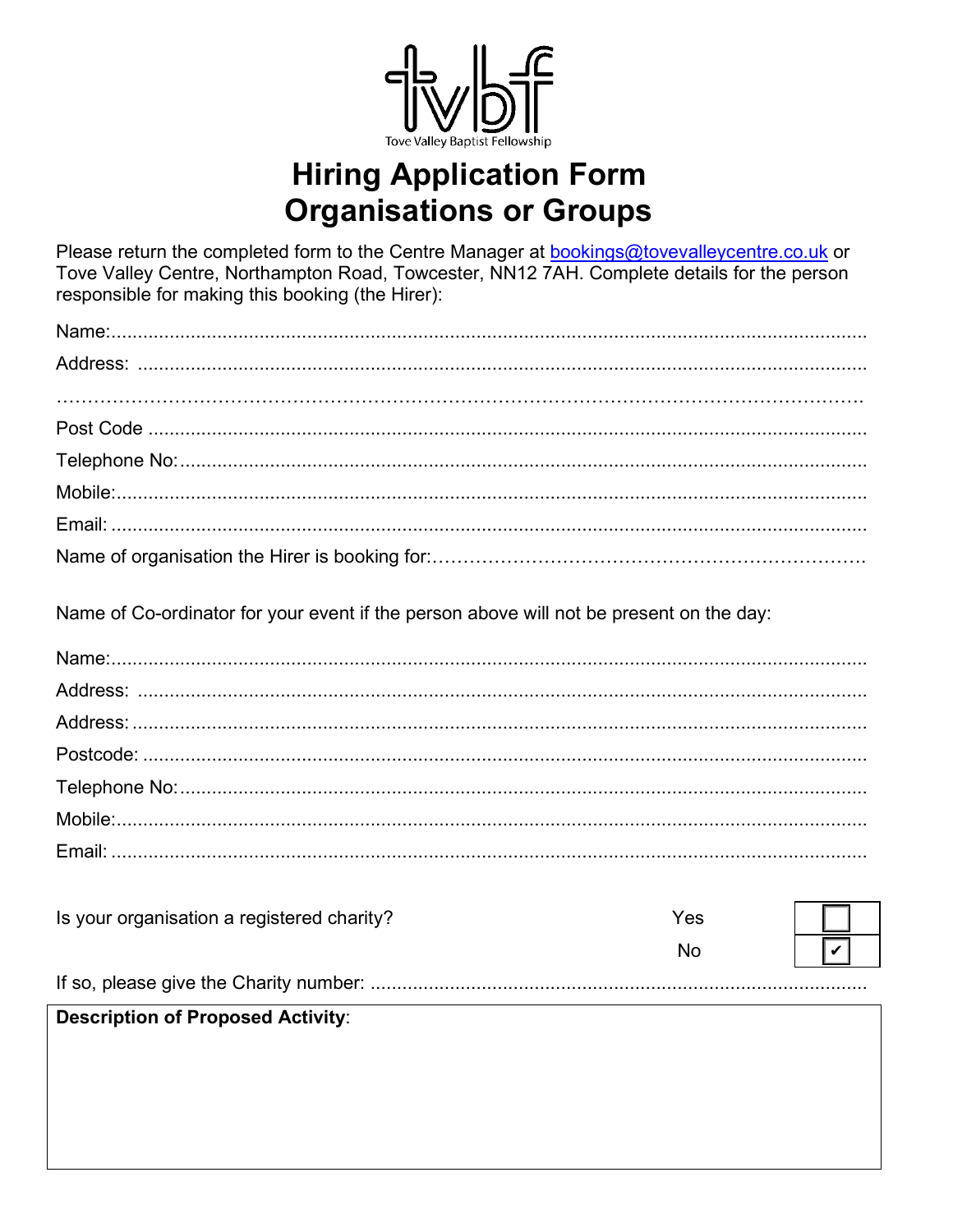

# **Hiring Application Form Organisations or Groups**

Please return the completed form to the Centre Manager at **bookings@tovevalleycentre.co.uk** or Tove Valley Centre, Northampton Road, Towcester, NN12 7AH. Complete details for the person responsible for making this booking (the Hirer):

| Name of Co-ordinator for your event if the person above will not be present on the day: |     |                             |
|-----------------------------------------------------------------------------------------|-----|-----------------------------|
|                                                                                         |     |                             |
|                                                                                         |     |                             |
|                                                                                         |     |                             |
|                                                                                         |     |                             |
|                                                                                         |     |                             |
|                                                                                         |     |                             |
|                                                                                         |     |                             |
|                                                                                         |     |                             |
| Is your organisation a registered charity?                                              | Yes |                             |
|                                                                                         | No. | $\vert\bm{\mathsf{v}}\vert$ |

## 

#### **Description of Proposed Activity:**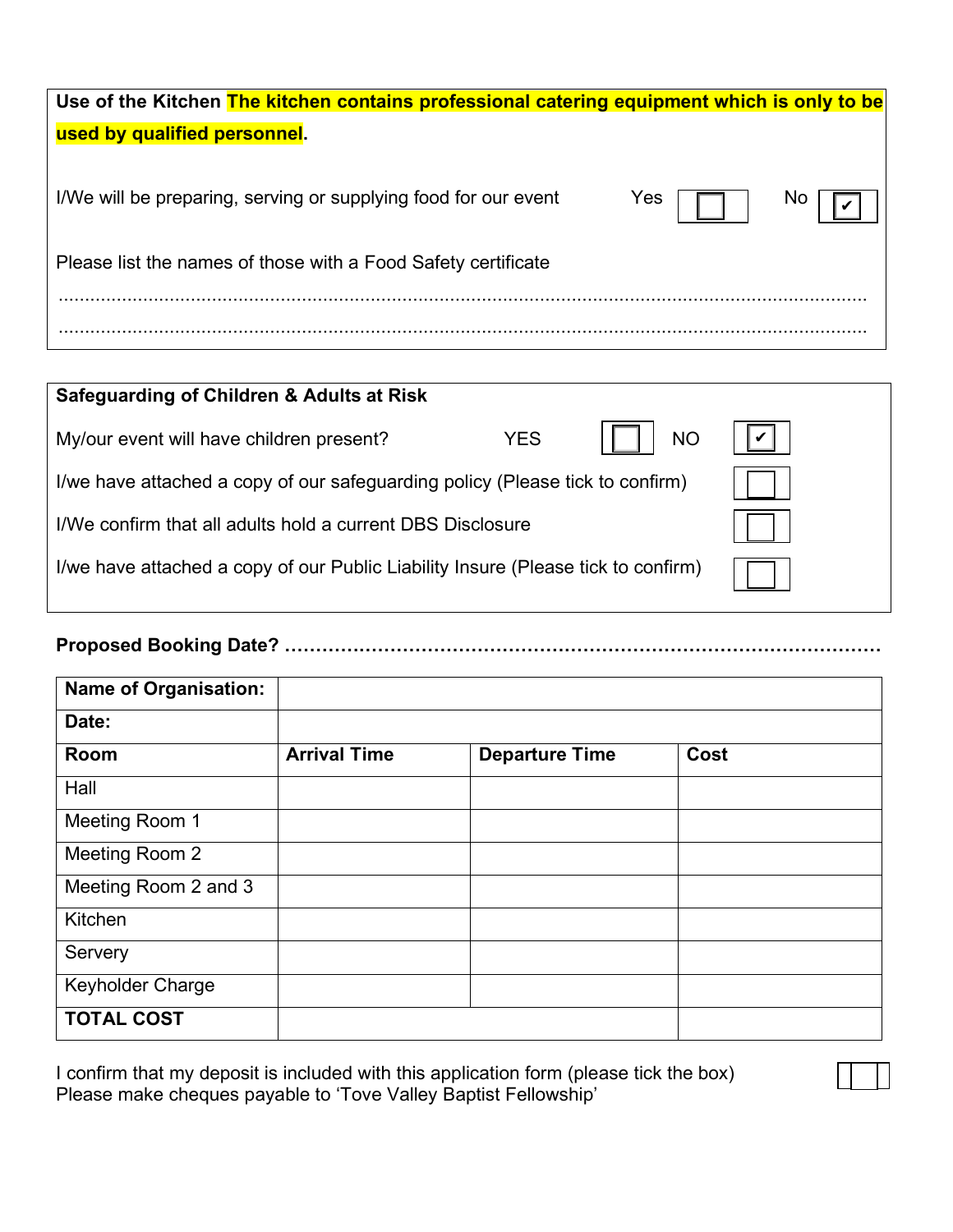| Use of the Kitchen The kitchen contains professional catering equipment which is only to be |     |    |
|---------------------------------------------------------------------------------------------|-----|----|
| used by qualified personnel.                                                                |     |    |
|                                                                                             |     |    |
| I/We will be preparing, serving or supplying food for our event                             | Yes | No |
| Please list the names of those with a Food Safety certificate                               |     |    |
|                                                                                             |     |    |
|                                                                                             |     |    |

| Safeguarding of Children & Adults at Risk                                         |            |           |  |
|-----------------------------------------------------------------------------------|------------|-----------|--|
| My/our event will have children present?                                          | <b>YES</b> | <b>NO</b> |  |
| I/we have attached a copy of our safeguarding policy (Please tick to confirm)     |            |           |  |
| I/We confirm that all adults hold a current DBS Disclosure                        |            |           |  |
| I/we have attached a copy of our Public Liability Insure (Please tick to confirm) |            |           |  |

### **Proposed Booking Date? ……………………………………………………………………………………**

| <b>Name of Organisation:</b> |                     |                       |      |
|------------------------------|---------------------|-----------------------|------|
| Date:                        |                     |                       |      |
| Room                         | <b>Arrival Time</b> | <b>Departure Time</b> | Cost |
| Hall                         |                     |                       |      |
| Meeting Room 1               |                     |                       |      |
| Meeting Room 2               |                     |                       |      |
| Meeting Room 2 and 3         |                     |                       |      |
| Kitchen                      |                     |                       |      |
| Servery                      |                     |                       |      |
| <b>Keyholder Charge</b>      |                     |                       |      |
| <b>TOTAL COST</b>            |                     |                       |      |

I confirm that my deposit is included with this application form (please tick the box)  $\begin{array}{|c|c|c|}\hline \end{array}$ Please make cheques payable to 'Tove Valley Baptist Fellowship'